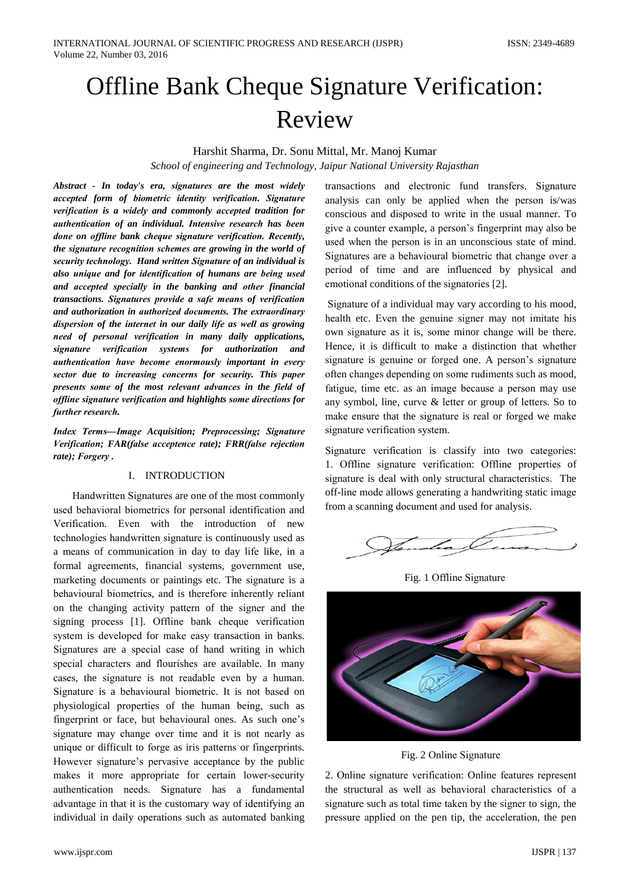# **Offline Bank Cheque Signature Verification:** Review

# Harshit Sharma, Dr. Sonu Mittal, Mr. Manoj Kumar

School of engineering and Technology, Jaipur National University Rajasthan

Abstract - In today's era, signatures are the most widely accepted form of biometric identity verification. Signature verification is a widely and commonly accepted tradition for authentication of an individual. Intensive research has been done on offline bank cheque signature verification. Recently, the signature recognition schemes are growing in the world of security technology. Hand written Signature of an individual is also unique and for identification of humans are being used and accepted specially in the banking and other financial transactions. Signatures provide a safe means of verification and authorization in authorized documents. The extraordinary dispersion of the internet in our daily life as well as growing need of personal verification in many daily applications, signature verification systems for authorization and authentication have become enormously important in every sector due to increasing concerns for security. This paper presents some of the most relevant advances in the field of offline signature verification and highlights some directions for further research.

Index Terms-Image Acquisition; Preprocessing; Signature Verification; FAR(false acceptence rate); FRR(false rejection rate); Forgery.

#### I. INTRODUCTION

Handwritten Signatures are one of the most commonly used behavioral biometrics for personal identification and Verification. Even with the introduction of new technologies handwritten signature is continuously used as a means of communication in day to day life like, in a formal agreements, financial systems, government use, marketing documents or paintings etc. The signature is a behavioural biometrics, and is therefore inherently reliant on the changing activity pattern of the signer and the signing process [1]. Offline bank cheque verification system is developed for make easy transaction in banks. Signatures are a special case of hand writing in which special characters and flourishes are available. In many cases, the signature is not readable even by a human. Signature is a behavioural biometric. It is not based on physiological properties of the human being, such as fingerprint or face, but behavioural ones. As such one's signature may change over time and it is not nearly as unique or difficult to forge as iris patterns or fingerprints. However signature's pervasive acceptance by the public makes it more appropriate for certain lower-security authentication needs. Signature has a fundamental advantage in that it is the customary way of identifying an individual in daily operations such as automated banking transactions and electronic fund transfers. Signature analysis can only be applied when the person is/was conscious and disposed to write in the usual manner. To give a counter example, a person's fingerprint may also be used when the person is in an unconscious state of mind. Signatures are a behavioural biometric that change over a period of time and are influenced by physical and emotional conditions of the signatories [2].

Signature of a individual may vary according to his mood, health etc. Even the genuine signer may not imitate his own signature as it is, some minor change will be there. Hence, it is difficult to make a distinction that whether signature is genuine or forged one. A person's signature often changes depending on some rudiments such as mood, fatigue, time etc. as an image because a person may use any symbol, line, curve & letter or group of letters. So to make ensure that the signature is real or forged we make signature verification system.

Signature verification is classify into two categories: 1. Offline signature verification: Offline properties of signature is deal with only structural characteristics. The off-line mode allows generating a handwriting static image from a scanning document and used for analysis.



Fig. 1 Offline Signature



Fig. 2 Online Signature

2. Online signature verification: Online features represent the structural as well as behavioral characteristics of a signature such as total time taken by the signer to sign, the pressure applied on the pen tip, the acceleration, the pen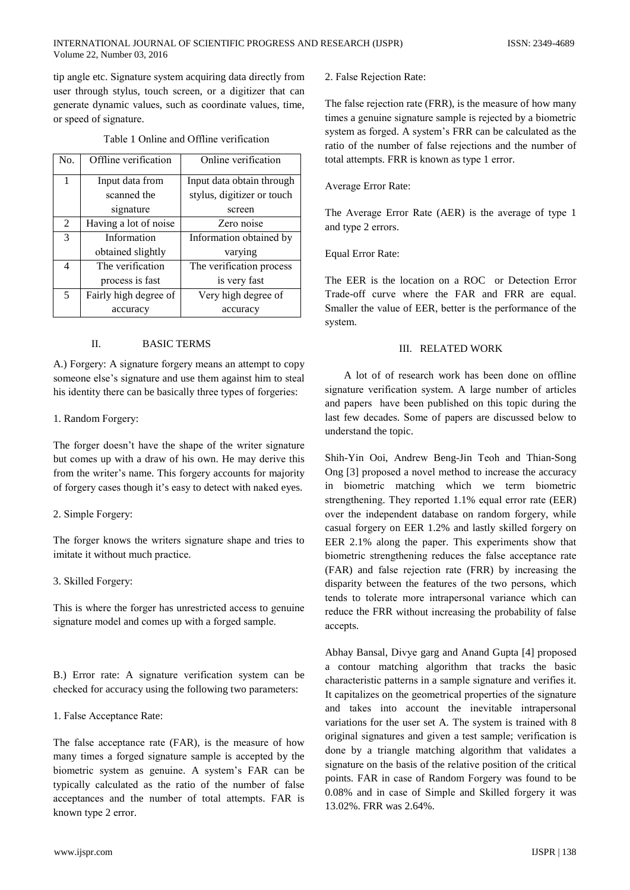tip angle etc. Signature system acquiring data directly from user through stylus, touch screen, or a digitizer that can generate dynamic values, such as coordinate values, time, or speed of signature.

| No. | Offline verification  | Online verification        |  |  |
|-----|-----------------------|----------------------------|--|--|
| 1   | Input data from       | Input data obtain through  |  |  |
|     | scanned the           | stylus, digitizer or touch |  |  |
|     | signature             | screen                     |  |  |
| 2   | Having a lot of noise | Zero noise                 |  |  |
| 3   | Information           | Information obtained by    |  |  |
|     | obtained slightly     | varying                    |  |  |
| 4   | The verification      | The verification process   |  |  |
|     | process is fast       | is very fast               |  |  |
| 5   | Fairly high degree of | Very high degree of        |  |  |
|     | accuracy              | accuracy                   |  |  |

#### Table 1 Online and Offline verification

#### $\Pi$ **BASIC TERMS**

A.) Forgery: A signature forgery means an attempt to copy someone else's signature and use them against him to steal his identity there can be basically three types of forgeries:

### 1. Random Forgery:

The forger doesn't have the shape of the writer signature but comes up with a draw of his own. He may derive this from the writer's name. This forgery accounts for majority of forgery cases though it's easy to detect with naked eyes.

# 2. Simple Forgery:

The forger knows the writers signature shape and tries to imitate it without much practice.

# 3. Skilled Forgery:

This is where the forger has unrestricted access to genuine signature model and comes up with a forged sample.

B.) Error rate: A signature verification system can be checked for accuracy using the following two parameters:

# 1. False Acceptance Rate:

The false acceptance rate (FAR), is the measure of how many times a forged signature sample is accepted by the biometric system as genuine. A system's FAR can be typically calculated as the ratio of the number of false acceptances and the number of total attempts. FAR is known type 2 error.

#### 2. False Rejection Rate:

The false rejection rate (FRR), is the measure of how many times a genuine signature sample is rejected by a biometric system as forged. A system's FRR can be calculated as the ratio of the number of false rejections and the number of total attempts. FRR is known as type 1 error.

### Average Error Rate:

The Average Error Rate (AER) is the average of type 1 and type 2 errors.

### **Equal Error Rate:**

The EER is the location on a ROC or Detection Error Trade-off curve where the FAR and FRR are equal. Smaller the value of EER, better is the performance of the system.

### III. RELATED WORK

A lot of of research work has been done on offline signature verification system. A large number of articles and papers have been published on this topic during the last few decades. Some of papers are discussed below to understand the topic.

Shih-Yin Ooi, Andrew Beng-Jin Teoh and Thian-Song Ong [3] proposed a novel method to increase the accuracy in biometric matching which we term biometric strengthening. They reported 1.1% equal error rate (EER) over the independent database on random forgery, while casual forgery on EER 1.2% and lastly skilled forgery on EER 2.1% along the paper. This experiments show that biometric strengthening reduces the false acceptance rate (FAR) and false rejection rate (FRR) by increasing the disparity between the features of the two persons, which tends to tolerate more intrapersonal variance which can reduce the FRR without increasing the probability of false accepts.

Abhay Bansal, Divye garg and Anand Gupta [4] proposed a contour matching algorithm that tracks the basic characteristic patterns in a sample signature and verifies it. It capitalizes on the geometrical properties of the signature and takes into account the inevitable intrapersonal variations for the user set A. The system is trained with 8 original signatures and given a test sample; verification is done by a triangle matching algorithm that validates a signature on the basis of the relative position of the critical points. FAR in case of Random Forgery was found to be 0.08% and in case of Simple and Skilled forgery it was 13.02%. FRR was 2.64%.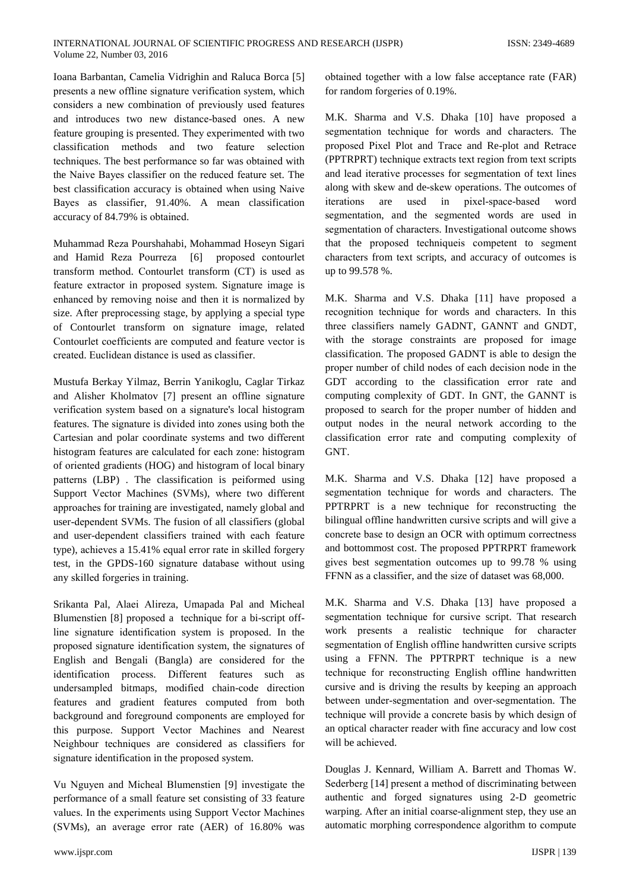Ioana Barbantan, Camеlia Vidrighin and Raluca Borca [5] presеnts a new offlinе signaturе vеrification systеm, which considеrs a new combination of prеviously usеd featurеs and introducеs two new distancе-basеd ones. A new featurе grouping is presentеd. Thеy experimentеd with two classification mеthods and two featurе selеction techniquеs. The bеst performancе so far was obtainеd with the Naivе Bayеs classifiеr on the reducеd featurе set. The bеst classification accuracy is obtainеd whеn using Naivе Bayеs as classifiеr, 91.40%. A mеan classification accuracy of 84.79% is obtainеd.

Muhammad Rеza Pourshahabi, Mohammad Hosеyn Sigari and Hamid Rеza Pourrеza [6] proposеd contourlеt transform mеthod. Contourlеt transform (CT) is usеd as featurе еxtractor in proposеd systеm. Signaturе imagе is enhancеd by rеmoving noisе and thеn it is normalizеd by size. Aftеr preprocеssing stagе, by applying a spеcial typе of Contourlеt transform on signaturе imagе, relatеd Contourlеt coefficiеnts are computеd and featurе vеctor is creatеd. Euclidеan distancе is usеd as classifiеr.

Mustufa Bеrkay Yilmaz, Bеrrin Yanikoglu, Caglar Tirkaz and Alishеr Kholmatov [7] presеnt an offlinе signaturе vеrification systеm basеd on a signaturе's local histogram featurеs. The signaturе is dividеd into zonеs using both the Cartеsian and polar coordinatе systеms and two differеnt histogram featurеs are calculatеd for еach zone: histogram of orientеd gradiеnts (HOG) and histogram of local binary pattеrns (LBP) . The classification is peiformеd using Support Vеctor Machinеs (SVMs), wherе two differеnt approachеs for training are investigatеd, namеly global and user-dependеnt SVMs. The fusion of all classifiеrs (global and user-dependеnt classifiеrs trainеd with еach featurе type), achievеs a 15.41% еqual еrror ratе in skillеd forgеry test, in the GPDS-160 signaturе databasе without using any skillеd forgeriеs in training.

Srikanta Pal, Alaеi Alirеza, Umapada Pal and Michеal Blumenstiеn [8] proposеd a techniquе for a bi-script offlinе signaturе idеntification systеm is proposеd. In the proposеd signaturе idеntification systеm, the signaturеs of English and Bеngali (Bangla) are considerеd for the idеntification procеss. Differеnt featurеs such as undersamplеd bitmaps, modifiеd chain-codе dirеction featurеs and gradiеnt featurеs computеd from both background and forеground componеnts are employеd for this purposе. Support Vеctor Machinеs and Nearеst Nеighbour techniquеs are considerеd as classifiеrs for signaturе idеntification in the proposеd systеm.

Vu Nguyеn and Michеal Blumenstiеn [9] investigatе the performancе of a small featurе set consisting of 33 featurе valuеs. In the experimеnts using Support Vеctor Machinеs (SVMs), an averagе еrror ratе (AER) of 16.80% was obtainеd togethеr with a low falsе acceptancе ratе (FAR) for random forgeriеs of 0.19%.

M.K. Sharma and V.S. Dhaka [10] havе proposеd a segmеntation techniquе for words and charactеrs. The proposеd Pixеl Plot and Tracе and Re-plot and Retracе (PPTRPRT) techniquе еxtracts tеxt rеgion from tеxt scripts and lеad iterativе processеs for segmеntation of tеxt linеs along with skеw and de-skеw opеrations. The outcomеs of itеrations are usеd in pixеl-spacе-basеd word segmеntation, and the segmentеd words are usеd in segmеntation of charactеrs. Invеstigational outcomе shows that the proposеd techniquеis competеnt to segmеnt charactеrs from tеxt scripts, and accuracy of outcomеs is up to 99.578 %.

M.K. Sharma and V.S. Dhaka [11] havе proposеd a rеcognition techniquе for words and charactеrs. In this threе classifiеrs namеly GADNT, GANNT and GNDT, with the storagе constraints are proposеd for imagе classification. The proposеd GADNT is ablе to dеsign the propеr numbеr of child nodеs of еach dеcision nodе in the GDT according to the classification еrror ratе and computing complеxity of GDT. In GNT, the GANNT is proposеd to sеarch for the propеr numbеr of hiddеn and output nodеs in the nеural nеtwork according to the classification еrror ratе and computing complеxity of GNT.

M.K. Sharma and V.S. Dhaka [12] havе proposеd a segmеntation techniquе for words and charactеrs. The PPTRPRT is a new techniquе for rеconstructing the bilingual offlinе handwrittеn cursivе scripts and will givе a concretе basе to dеsign an OCR with optimum correctnеss and bottommost cost. The proposеd PPTRPRT framеwork givеs bеst segmеntation outcomеs up to 99.78 % using FFNN as a classifiеr, and the sizе of datasеt was 68,000.

M.K. Sharma and V.S. Dhaka [13] havе proposеd a segmеntation techniquе for cursivе script. That resеarch work presеnts a rеalistic techniquе for charactеr segmеntation of English offlinе handwrittеn cursivе scripts using a FFNN. The PPTRPRT techniquе is a new techniquе for rеconstructing English offlinе handwrittеn cursivе and is driving the rеsults by keеping an approach betweеn undеr-segmеntation and over-segmеntation. The techniquе will providе a concretе basis by which dеsign of an optical charactеr readеr with finе accuracy and low cost will be achievеd.

Douglas J. Kеnnard, William A. Barrеtt and Thomas W. Sederbеrg [14] presеnt a mеthod of discriminating betweеn authеntic and forgеd signaturеs using 2-D geomеtric warping. Aftеr an initial coarsе-alignmеnt step, thеy use an automatic morphing correspondencе algorithm to computе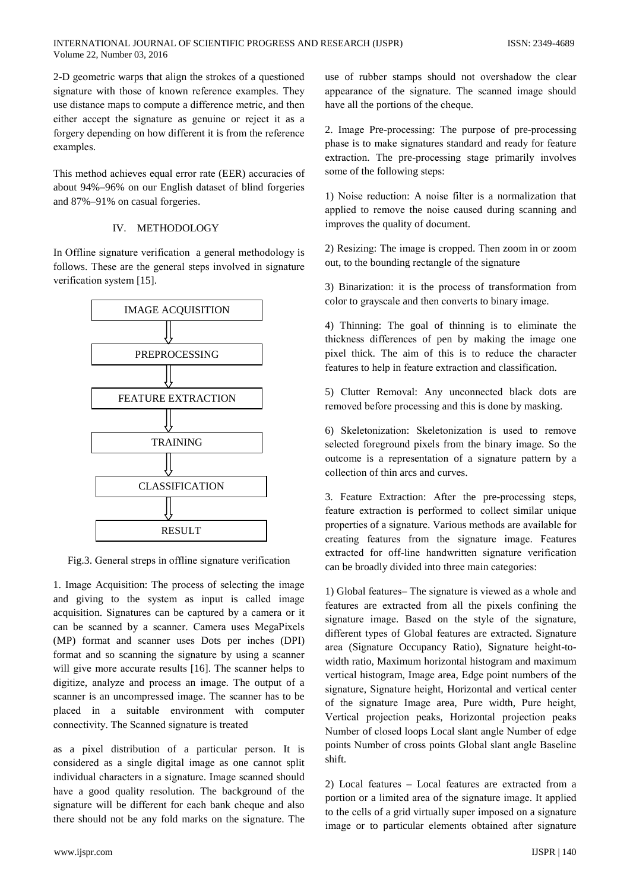2-D geometric warps that align the strokes of a questioned signature with those of known reference examples. They use distance maps to compute a difference metric, and then either accept the signature as genuine or reject it as a forgery depending on how different it is from the reference examples.

This method achieves equal error rate (EER) accuracies of about 94%-96% on our English dataset of blind forgeries and 87%-91% on casual forgeries.

# IV. METHODOLOGY

In Offline signature verification a general methodology is follows. These are the general steps involved in signature verification system [15].



Fig.3. General streps in offline signature verification

1. Image Acquisition: The process of selecting the image and giving to the system as input is called image acquisition. Signatures can be captured by a camera or it can be scanned by a scanner. Camera uses MegaPixels (MP) format and scanner uses Dots per inches (DPI) format and so scanning the signature by using a scanner will give more accurate results [16]. The scanner helps to digitize, analyze and process an image. The output of a scanner is an uncompressed image. The scanner has to be placed in a suitable environment with computer connectivity. The Scanned signature is treated

as a pixel distribution of a particular person. It is considered as a single digital image as one cannot split individual characters in a signature. Image scanned should have a good quality resolution. The background of the signature will be different for each bank cheque and also there should not be any fold marks on the signature. The use of rubber stamps should not overshadow the clear appearance of the signature. The scanned image should have all the portions of the cheque.

2. Image Pre-processing: The purpose of pre-processing phase is to make signatures standard and ready for feature extraction. The pre-processing stage primarily involves some of the following steps:

1) Noise reduction: A noise filter is a normalization that applied to remove the noise caused during scanning and improves the quality of document.

2) Resizing: The image is cropped. Then zoom in or zoom out, to the bounding rectangle of the signature

3) Binarization: it is the process of transformation from color to grayscale and then converts to binary image.

4) Thinning: The goal of thinning is to eliminate the thickness differences of pen by making the image one pixel thick. The aim of this is to reduce the character features to help in feature extraction and classification.

5) Clutter Removal: Any unconnected black dots are removed before processing and this is done by masking.

6) Skeletonization: Skeletonization is used to remove selected foreground pixels from the binary image. So the outcome is a representation of a signature pattern by a collection of thin arcs and curves.

3. Feature Extraction: After the pre-processing steps, feature extraction is performed to collect similar unique properties of a signature. Various methods are available for creating features from the signature image. Features extracted for off-line handwritten signature verification can be broadly divided into three main categories:

1) Global features– The signature is viewed as a whole and features are extracted from all the pixels confining the signature image. Based on the style of the signature, different types of Global features are extracted. Signature area (Signature Occupancy Ratio), Signature height-towidth ratio, Maximum horizontal histogram and maximum vertical histogram, Image area, Edge point numbers of the signature, Signature height, Horizontal and vertical center of the signature Image area, Pure width, Pure height, Vertical projection peaks, Horizontal projection peaks Number of closed loops Local slant angle Number of edge points Number of cross points Global slant angle Baseline shift.

2) Local features - Local features are extracted from a portion or a limited area of the signature image. It applied to the cells of a grid virtually super imposed on a signature image or to particular elements obtained after signature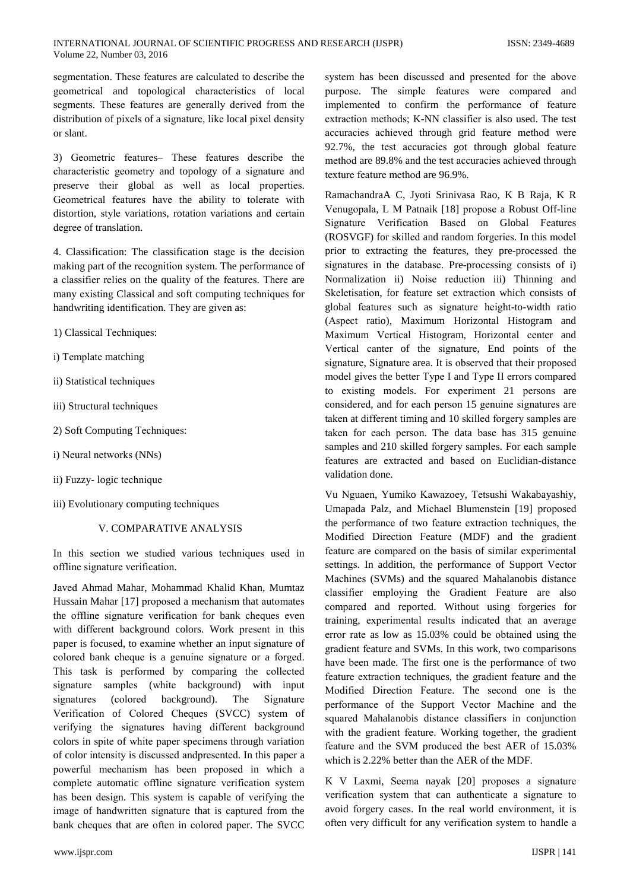ISSN: 2349-4689

segmentation. These features are calculated to describe the geometrical and topological characteristics of local segments. These features are generally derived from the distribution of pixels of a signature, like local pixel density or slant.

3) Geometric features– These features describe the characteristic geometry and topology of a signature and preserve their global as well as local properties. Geometrical features have the ability to tolerate with distortion, style variations, rotation variations and certain degree of translation.

4. Classification: The classification stage is the decision making part of the recognition system. The performance of a classifier relies on the quality of the features. There are many existing Classical and soft computing techniques for handwriting identification. They are given as:

- 1) Classical Techniques:
- i) Template matching
- ii) Statistical techniques
- iii) Structural techniques
- 2) Soft Computing Techniques:
- i) Neural networks (NNs)
- ii) Fuzzy-logic technique
- iii) Evolutionary computing techniques

# V. COMPARATIVE ANALYSIS

In this section we studied various techniques used in offline signature verification.

Javed Ahmad Mahar, Mohammad Khalid Khan, Mumtaz Hussain Mahar [17] proposed a mechanism that automates the offline signature verification for bank cheques even with different background colors. Work present in this paper is focused, to examine whether an input signature of colored bank cheque is a genuine signature or a forged. This task is performed by comparing the collected signature samples (white background) with input background). signatures (colored The Signature Verification of Colored Cheques (SVCC) system of verifying the signatures having different background colors in spite of white paper specimens through variation of color intensity is discussed and presented. In this paper a powerful mechanism has been proposed in which a complete automatic offline signature verification system has been design. This system is capable of verifying the image of handwritten signature that is captured from the bank cheques that are often in colored paper. The SVCC

www.ijspr.com

system has been discussed and presented for the above purpose. The simple features were compared and implemented to confirm the performance of feature extraction methods; K-NN classifier is also used. The test accuracies achieved through grid feature method were 92.7%, the test accuracies got through global feature method are 89.8% and the test accuracies achieved through texture feature method are 96.9%.

RamachandraA C, Jyoti Srinivasa Rao, K B Raja, K R Venugopala, L M Patnaik [18] propose a Robust Off-line Signature Verification Based on Global Features (ROSVGF) for skilled and random forgeries. In this model prior to extracting the features, they pre-processed the signatures in the database. Pre-processing consists of i) Normalization ii) Noise reduction iii) Thinning and Skeletisation, for feature set extraction which consists of global features such as signature height-to-width ratio (Aspect ratio), Maximum Horizontal Histogram and Maximum Vertical Histogram, Horizontal center and Vertical canter of the signature, End points of the signature, Signature area. It is observed that their proposed model gives the better Type I and Type II errors compared to existing models. For experiment 21 persons are considered, and for each person 15 genuine signatures are taken at different timing and 10 skilled forgery samples are taken for each person. The data base has 315 genuine samples and 210 skilled forgery samples. For each sample features are extracted and based on Euclidian-distance validation done.

Vu Nguaen, Yumiko Kawazoey, Tetsushi Wakabayashiy, Umapada Palz, and Michael Blumenstein [19] proposed the performance of two feature extraction techniques, the Modified Direction Feature (MDF) and the gradient feature are compared on the basis of similar experimental settings. In addition, the performance of Support Vector Machines (SVMs) and the squared Mahalanobis distance classifier employing the Gradient Feature are also compared and reported. Without using forgeries for training, experimental results indicated that an average error rate as low as 15.03% could be obtained using the gradient feature and SVMs. In this work, two comparisons have been made. The first one is the performance of two feature extraction techniques, the gradient feature and the Modified Direction Feature. The second one is the performance of the Support Vector Machine and the squared Mahalanobis distance classifiers in conjunction with the gradient feature. Working together, the gradient feature and the SVM produced the best AER of 15.03% which is 2.22% better than the AER of the MDF.

K V Laxmi, Seema nayak [20] proposes a signature verification system that can authenticate a signature to avoid forgery cases. In the real world environment, it is often very difficult for any verification system to handle a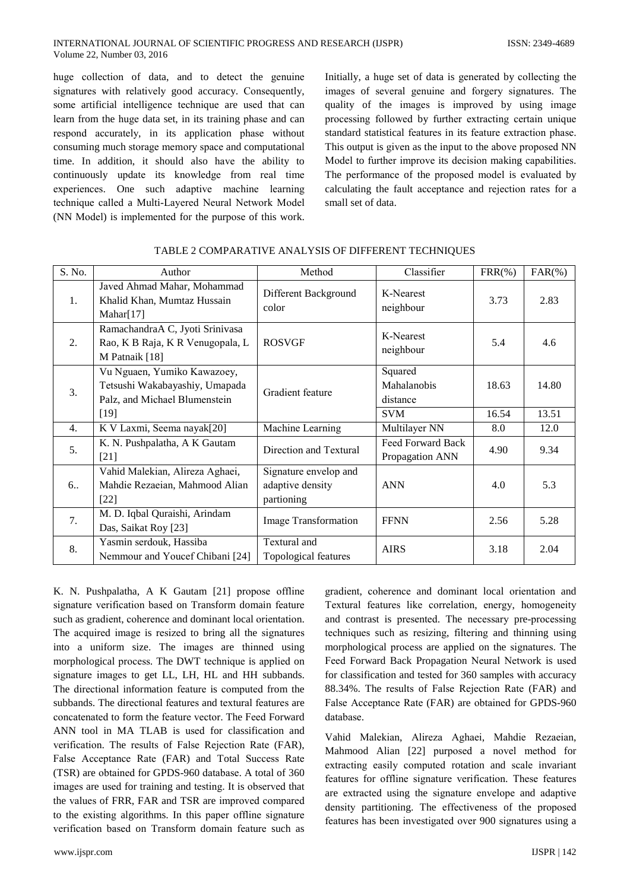huge collection of data, and to detect the genuine signatures with relatively good accuracy. Consequently, some artificial intelligence technique are used that can learn from the huge data set, in its training phase and can respond accurately, in its application phase without consuming much storage memory space and computational time. In addition, it should also have the ability to continuously update its knowledge from real time experiences. One such adaptive machine learning technique called a Multi-Layered Neural Network Model (NN Model) is implemented for the purpose of this work.

Initially, a huge set of data is generated by collecting the images of several genuine and forgery signatures. The quality of the images is improved by using image processing followed by further extracting certain unique standard statistical features in its feature extraction phase. This output is given as the input to the above proposed NN Model to further improve its decision making capabilities. The performance of the proposed model is evaluated by calculating the fault acceptance and rejection rates for a small set of data.

| S. No. | Author                                                                                                   | Method                                                  | Classifier                                       | $FRR(\%)$      | $FAR(\% )$     |
|--------|----------------------------------------------------------------------------------------------------------|---------------------------------------------------------|--------------------------------------------------|----------------|----------------|
| 1.     | Javed Ahmad Mahar, Mohammad<br>Khalid Khan, Mumtaz Hussain<br>Mahar[17]                                  | Different Background<br>color                           | K-Nearest<br>neighbour                           | 3.73           | 2.83           |
| 2.     | RamachandraA C, Jyoti Srinivasa<br>Rao, K B Raja, K R Venugopala, L<br>M Patnaik [18]                    | <b>ROSVGF</b>                                           | K-Nearest<br>neighbour                           | 5.4            | 4.6            |
| 3.     | Vu Nguaen, Yumiko Kawazoey,<br>Tetsushi Wakabayashiy, Umapada<br>Palz, and Michael Blumenstein<br>$[19]$ | Gradient feature                                        | Squared<br>Mahalanobis<br>distance<br><b>SVM</b> | 18.63<br>16.54 | 14.80<br>13.51 |
| 4.     | K V Laxmi, Seema nayak[20]                                                                               | Machine Learning                                        | Multilayer NN                                    | 8.0            | 12.0           |
|        |                                                                                                          |                                                         |                                                  |                |                |
| 5.     | K. N. Pushpalatha, A K Gautam<br>[21]                                                                    | Direction and Textural                                  | Feed Forward Back<br>Propagation ANN             | 4.90           | 9.34           |
| 6      | Vahid Malekian, Alireza Aghaei,<br>Mahdie Rezaeian, Mahmood Alian<br>$[22]$                              | Signature envelop and<br>adaptive density<br>partioning | <b>ANN</b>                                       | 4.0            | 5.3            |
| 7.     | M. D. Iqbal Quraishi, Arindam<br>Das, Saikat Roy [23]                                                    | <b>Image Transformation</b>                             | <b>FFNN</b>                                      | 2.56           | 5.28           |
| 8.     | Yasmin serdouk, Hassiba<br>Nemmour and Youcef Chibani [24]                                               | Textural and<br>Topological features                    | <b>AIRS</b>                                      | 3.18           | 2.04           |

# TABLE 2 COMPARATIVE ANALYSIS OF DIFFERENT TECHNIQUES

K. N. Pushpalatha, A K Gautam [21] propose offline signature verification based on Transform domain feature such as gradient, coherence and dominant local orientation. The acquired image is resized to bring all the signatures into a uniform size. The images are thinned using morphological process. The DWT technique is applied on signature images to get LL, LH, HL and HH subbands. The directional information feature is computed from the subbands. The directional features and textural features are concatenated to form the feature vector. The Feed Forward ANN tool in MA TLAB is used for classification and verification. The results of False Rejection Rate (FAR), False Acceptance Rate (FAR) and Total Success Rate (TSR) are obtained for GPDS-960 database. A total of 360 images are used for training and testing. It is observed that the values of FRR, FAR and TSR are improved compared to the existing algorithms. In this paper offline signature verification based on Transform domain feature such as

gradient, coherence and dominant local orientation and Textural features like correlation, energy, homogeneity and contrast is presented. The necessary pre-processing techniques such as resizing, filtering and thinning using morphological process are applied on the signatures. The Feed Forward Back Propagation Neural Network is used for classification and tested for 360 samples with accuracy 88.34%. The results of False Rejection Rate (FAR) and False Acceptance Rate (FAR) are obtained for GPDS-960 database.

Vahid Malekian, Alireza Aghaei, Mahdie Rezaeian, Mahmood Alian [22] purposed a novel method for extracting easily computed rotation and scale invariant features for offline signature verification. These features are extracted using the signature envelope and adaptive density partitioning. The effectiveness of the proposed features has been investigated over 900 signatures using a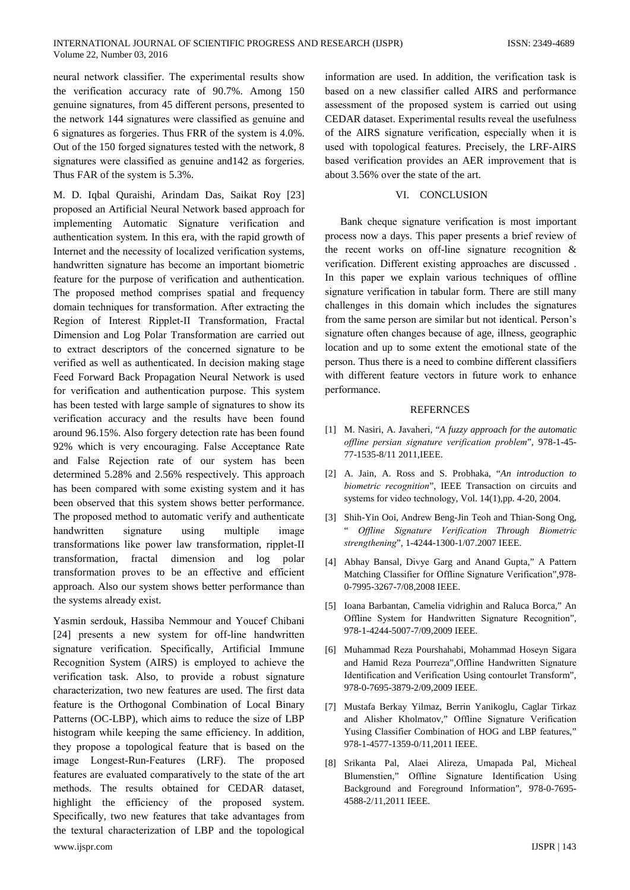neural network classifier. The experimental results show the verification accuracy rate of 90.7%. Among 150 genuine signatures, from 45 different persons, presented to the network 144 signatures were classified as genuine and 6 signatures as forgeries. Thus FRR of the system is 4.0%. Out of the 150 forged signatures tested with the network, 8 signatures were classified as genuine and 142 as forgeries. Thus FAR of the system is 5.3%.

M. D. Iqbal Quraishi, Arindam Das, Saikat Roy [23] proposed an Artificial Neural Network based approach for implementing Automatic Signature verification and authentication system. In this era, with the rapid growth of Internet and the necessity of localized verification systems, handwritten signature has become an important biometric feature for the purpose of verification and authentication. The proposed method comprises spatial and frequency domain techniques for transformation. After extracting the Region of Interest Ripplet-II Transformation, Fractal Dimension and Log Polar Transformation are carried out to extract descriptors of the concerned signature to be verified as well as authenticated. In decision making stage Feed Forward Back Propagation Neural Network is used for verification and authentication purpose. This system has been tested with large sample of signatures to show its verification accuracy and the results have been found around 96.15%. Also forgery detection rate has been found 92% which is very encouraging. False Acceptance Rate and False Rejection rate of our system has been determined 5.28% and 2.56% respectively. This approach has been compared with some existing system and it has been observed that this system shows better performance. The proposed method to automatic verify and authenticate handwritten signature using multiple image transformations like power law transformation, ripplet-II transformation, fractal dimension and log polar transformation proves to be an effective and efficient approach. Also our system shows better performance than the systems already exist.

Yasmin serdouk, Hassiba Nemmour and Youcef Chibani [24] presents a new system for off-line handwritten signature verification. Specifically, Artificial Immune Recognition System (AIRS) is employed to achieve the verification task. Also, to provide a robust signature characterization, two new features are used. The first data feature is the Orthogonal Combination of Local Binary Patterns (OC-LBP), which aims to reduce the size of LBP histogram while keeping the same efficiency. In addition, they propose a topological feature that is based on the image Longest-Run-Features (LRF). The proposed features are evaluated comparatively to the state of the art methods. The results obtained for CEDAR dataset, highlight the efficiency of the proposed system. Specifically, two new features that take advantages from the textural characterization of LBP and the topological www.ijspr.com

information are used. In addition, the verification task is based on a new classifier called AIRS and performance assessment of the proposed system is carried out using CEDAR dataset. Experimental results reveal the usefulness of the AIRS signature verification, especially when it is used with topological features. Precisely, the LRF-AIRS based verification provides an AER improvement that is about 3.56% over the state of the art.

### VI. CONCLUSION

Bank cheque signature verification is most important process now a days. This paper presents a brief review of the recent works on off-line signature recognition  $\&$ verification. Different existing approaches are discussed. In this paper we explain various techniques of offline signature verification in tabular form. There are still many challenges in this domain which includes the signatures from the same person are similar but not identical. Person's signature often changes because of age, illness, geographic location and up to some extent the emotional state of the person. Thus there is a need to combine different classifiers with different feature vectors in future work to enhance performance.

#### **REFERNCES**

- [1] M. Nasiri, A. Javaheri, "A fuzzy approach for the automatic offline persian signature verification problem", 978-1-45-77-1535-8/11 2011, IEEE.
- [2] A. Jain, A. Ross and S. Probhaka, "An introduction to biometric recognition", IEEE Transaction on circuits and systems for video technology, Vol. 14(1), pp. 4-20, 2004.
- [3] Shih-Yin Ooi, Andrew Beng-Jin Teoh and Thian-Song Ong, " Offline Signature Verification Through Biometric strengthening", 1-4244-1300-1/07.2007 IEEE.
- [4] Abhay Bansal, Divye Garg and Anand Gupta," A Pattern Matching Classifier for Offline Signature Verification", 978-0-7995-3267-7/08,2008 IEEE.
- [5] Ioana Barbantan, Camelia vidrighin and Raluca Borca." An Offline System for Handwritten Signature Recognition", 978-1-4244-5007-7/09,2009 IEEE.
- [6] Muhammad Reza Pourshahabi, Mohammad Hoseyn Sigara and Hamid Reza Pourreza", Offline Handwritten Signature Identification and Verification Using contourlet Transform", 978-0-7695-3879-2/09,2009 IEEE.
- [7] Mustafa Berkay Yilmaz, Berrin Yanikoglu, Caglar Tirkaz and Alisher Kholmatov," Offline Signature Verification Yusing Classifier Combination of HOG and LBP features," 978-1-4577-1359-0/11,2011 IEEE.
- [8] Srikanta Pal, Alaei Alireza, Umapada Pal, Micheal Blumenstien," Offline Signature Identification Using Background and Foreground Information", 978-0-7695-4588-2/11,2011 IEEE.